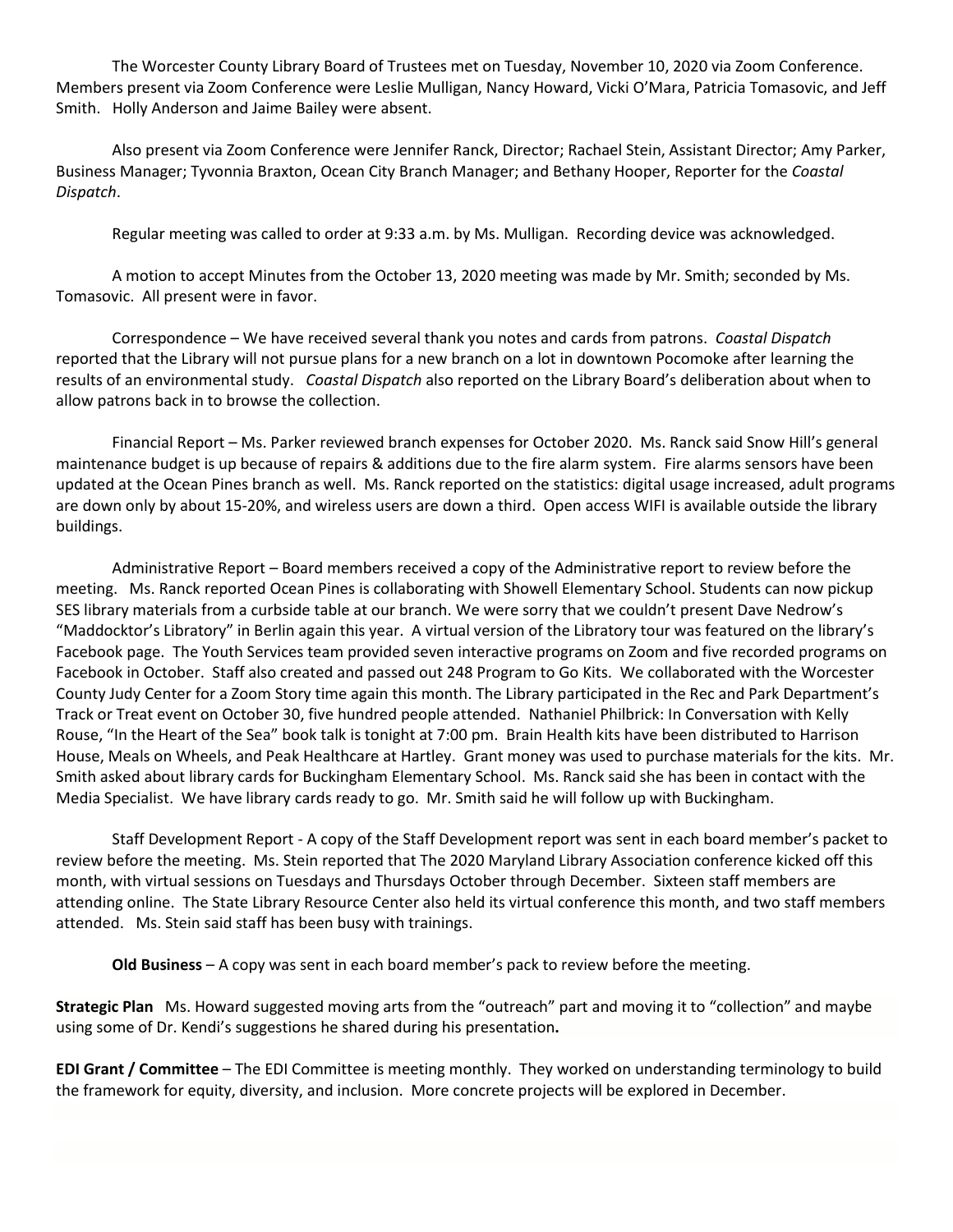The Worcester County Library Board of Trustees met on Tuesday, November 10, 2020 via Zoom Conference. Members present via Zoom Conference were Leslie Mulligan, Nancy Howard, Vicki O'Mara, Patricia Tomasovic, and Jeff Smith. Holly Anderson and Jaime Bailey were absent.

Also present via Zoom Conference were Jennifer Ranck, Director; Rachael Stein, Assistant Director; Amy Parker, Business Manager; Tyvonnia Braxton, Ocean City Branch Manager; and Bethany Hooper, Reporter for the *Coastal Dispatch*.

Regular meeting was called to order at 9:33 a.m. by Ms. Mulligan. Recording device was acknowledged.

A motion to accept Minutes from the October 13, 2020 meeting was made by Mr. Smith; seconded by Ms. Tomasovic. All present were in favor.

Correspondence – We have received several thank you notes and cards from patrons. *Coastal Dispatch*  reported that the Library will not pursue plans for a new branch on a lot in downtown Pocomoke after learning the results of an environmental study. *Coastal Dispatch* also reported on the Library Board's deliberation about when to allow patrons back in to browse the collection.

Financial Report – Ms. Parker reviewed branch expenses for October 2020. Ms. Ranck said Snow Hill's general maintenance budget is up because of repairs & additions due to the fire alarm system. Fire alarms sensors have been updated at the Ocean Pines branch as well. Ms. Ranck reported on the statistics: digital usage increased, adult programs are down only by about 15-20%, and wireless users are down a third. Open access WIFI is available outside the library buildings.

Administrative Report – Board members received a copy of the Administrative report to review before the meeting. Ms. Ranck reported Ocean Pines is collaborating with Showell Elementary School. Students can now pickup SES library materials from a curbside table at our branch. We were sorry that we couldn't present Dave Nedrow's "Maddocktor's Libratory" in Berlin again this year. A virtual version of the Libratory tour was featured on the library's Facebook page. The Youth Services team provided seven interactive programs on Zoom and five recorded programs on Facebook in October. Staff also created and passed out 248 Program to Go Kits. We collaborated with the Worcester County Judy Center for a Zoom Story time again this month. The Library participated in the Rec and Park Department's Track or Treat event on October 30, five hundred people attended. Nathaniel Philbrick: In Conversation with Kelly Rouse, "In the Heart of the Sea" book talk is tonight at 7:00 pm. Brain Health kits have been distributed to Harrison House, Meals on Wheels, and Peak Healthcare at Hartley. Grant money was used to purchase materials for the kits. Mr. Smith asked about library cards for Buckingham Elementary School. Ms. Ranck said she has been in contact with the Media Specialist. We have library cards ready to go. Mr. Smith said he will follow up with Buckingham.

Staff Development Report - A copy of the Staff Development report was sent in each board member's packet to review before the meeting. Ms. Stein reported that The 2020 Maryland Library Association conference kicked off this month, with virtual sessions on Tuesdays and Thursdays October through December. Sixteen staff members are attending online. The State Library Resource Center also held its virtual conference this month, and two staff members attended. Ms. Stein said staff has been busy with trainings.

**Old Business** – A copy was sent in each board member's pack to review before the meeting.

**Strategic Plan** Ms. Howard suggested moving arts from the "outreach" part and moving it to "collection" and maybe using some of Dr. Kendi's suggestions he shared during his presentation**.**

**EDI Grant / Committee** – The EDI Committee is meeting monthly. They worked on understanding terminology to build the framework for equity, diversity, and inclusion. More concrete projects will be explored in December.